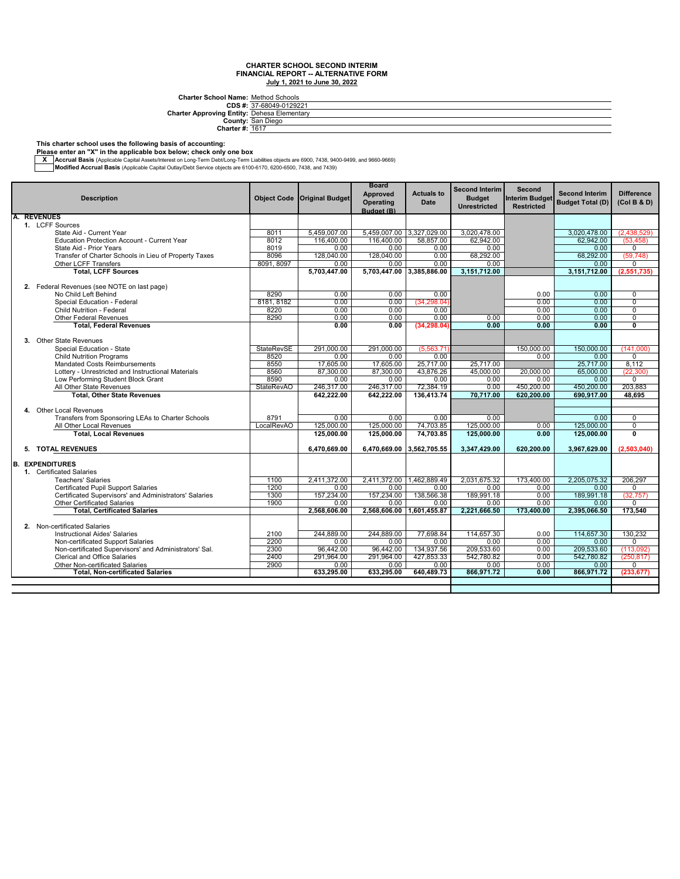**CDS #: Charter Approving Entity: Charter School Name:** Method Schools<br> **CDS** #: 37-68049-0129221<br> **Arter Approving Entity:** Dehesa Elementary<br>
County: San Diego<br>
Charter #: <u>1617</u>

#### **This charter school uses the following basis of accounting:**

**Please enter an "X" in the applicable box below; check only one box**

— Accrual Basis (Applicable Capital Assets/Interest on Long-Term Debt/Long-Term Liabilities objects are 6900, 7438, 9400-9499, and 9660-9669, Architect State Internal Basis (Applicable Capital Outlay/Debt Service objects

| <b>Approved</b><br><b>Actuals to</b><br><b>Second Interim</b><br><b>Difference</b><br><b>Object Code</b><br><b>Original Budget</b><br><b>Budget</b><br><b>Interim Budget</b><br><b>Description</b><br><b>Date</b><br><b>Budget Total (D)</b><br>(Col B & D)<br><b>Operating</b><br><b>Restricted</b><br><b>Unrestricted</b><br>Budget (B)<br><b>REVENUES</b><br>1. LCFF Sources<br>5,459,007.00 3,327,029.00<br>State Aid - Current Year<br>8011<br>5,459,007.00<br>3,020,478.00<br>3,020,478.00<br>(2,438,529)<br>116,400.00<br>62.942.00<br><b>Education Protection Account - Current Year</b><br>8012<br>116,400.00<br>58,857.00<br>62.942.00<br>(53.458)<br>8019<br>0.00<br>0.00<br>0.00<br>0.00<br>0.00<br>$\mathbf 0$<br>State Aid - Prior Years<br>8096<br>128.040.00<br>128,040.00<br>68.292.00<br>68.292.00<br>Transfer of Charter Schools in Lieu of Property Taxes<br>0.00<br>(59, 748)<br>8091, 8097<br>0.00<br>0.00<br>Other LCFF Transfers<br>0.00<br>0.00<br>0.00<br>$\mathbf 0$<br><b>Total, LCFF Sources</b><br>5.703.447.00 3.385.886.00<br>3.151.712.00<br>3,151,712.00<br>(2,551,735)<br>5,703,447.00<br>2. Federal Revenues (see NOTE on last page)<br>No Child Left Behind<br>8290<br>0.00<br>0.00<br>0.00<br>0.00<br>0.00<br>$\mathbf 0$<br>8181, 8182<br>(34, 298.04)<br>$\overline{0}$<br>Special Education - Federal<br>0.00<br>0.00<br>0.00<br>0.00 |
|--------------------------------------------------------------------------------------------------------------------------------------------------------------------------------------------------------------------------------------------------------------------------------------------------------------------------------------------------------------------------------------------------------------------------------------------------------------------------------------------------------------------------------------------------------------------------------------------------------------------------------------------------------------------------------------------------------------------------------------------------------------------------------------------------------------------------------------------------------------------------------------------------------------------------------------------------------------------------------------------------------------------------------------------------------------------------------------------------------------------------------------------------------------------------------------------------------------------------------------------------------------------------------------------------------------------------------------------------------------------------------|
|                                                                                                                                                                                                                                                                                                                                                                                                                                                                                                                                                                                                                                                                                                                                                                                                                                                                                                                                                                                                                                                                                                                                                                                                                                                                                                                                                                                |
|                                                                                                                                                                                                                                                                                                                                                                                                                                                                                                                                                                                                                                                                                                                                                                                                                                                                                                                                                                                                                                                                                                                                                                                                                                                                                                                                                                                |
|                                                                                                                                                                                                                                                                                                                                                                                                                                                                                                                                                                                                                                                                                                                                                                                                                                                                                                                                                                                                                                                                                                                                                                                                                                                                                                                                                                                |
|                                                                                                                                                                                                                                                                                                                                                                                                                                                                                                                                                                                                                                                                                                                                                                                                                                                                                                                                                                                                                                                                                                                                                                                                                                                                                                                                                                                |
|                                                                                                                                                                                                                                                                                                                                                                                                                                                                                                                                                                                                                                                                                                                                                                                                                                                                                                                                                                                                                                                                                                                                                                                                                                                                                                                                                                                |
|                                                                                                                                                                                                                                                                                                                                                                                                                                                                                                                                                                                                                                                                                                                                                                                                                                                                                                                                                                                                                                                                                                                                                                                                                                                                                                                                                                                |
|                                                                                                                                                                                                                                                                                                                                                                                                                                                                                                                                                                                                                                                                                                                                                                                                                                                                                                                                                                                                                                                                                                                                                                                                                                                                                                                                                                                |
|                                                                                                                                                                                                                                                                                                                                                                                                                                                                                                                                                                                                                                                                                                                                                                                                                                                                                                                                                                                                                                                                                                                                                                                                                                                                                                                                                                                |
|                                                                                                                                                                                                                                                                                                                                                                                                                                                                                                                                                                                                                                                                                                                                                                                                                                                                                                                                                                                                                                                                                                                                                                                                                                                                                                                                                                                |
|                                                                                                                                                                                                                                                                                                                                                                                                                                                                                                                                                                                                                                                                                                                                                                                                                                                                                                                                                                                                                                                                                                                                                                                                                                                                                                                                                                                |
|                                                                                                                                                                                                                                                                                                                                                                                                                                                                                                                                                                                                                                                                                                                                                                                                                                                                                                                                                                                                                                                                                                                                                                                                                                                                                                                                                                                |
|                                                                                                                                                                                                                                                                                                                                                                                                                                                                                                                                                                                                                                                                                                                                                                                                                                                                                                                                                                                                                                                                                                                                                                                                                                                                                                                                                                                |
| $\overline{0}$<br><b>Child Nutrition - Federal</b><br>8220<br>0.00<br>0.00<br>0.00<br>0.00<br>0.00                                                                                                                                                                                                                                                                                                                                                                                                                                                                                                                                                                                                                                                                                                                                                                                                                                                                                                                                                                                                                                                                                                                                                                                                                                                                             |
| $\overline{0}$<br><b>Other Federal Revenues</b><br>8290<br>0.00<br>0.00<br>0.00<br>0.00<br>0.00<br>0.00                                                                                                                                                                                                                                                                                                                                                                                                                                                                                                                                                                                                                                                                                                                                                                                                                                                                                                                                                                                                                                                                                                                                                                                                                                                                        |
| <b>Total, Federal Revenues</b><br>$\overline{\mathbf{0}}$<br>0.00<br>0.00<br>(34, 298.04)<br>0.00<br>0.00<br>0.00                                                                                                                                                                                                                                                                                                                                                                                                                                                                                                                                                                                                                                                                                                                                                                                                                                                                                                                                                                                                                                                                                                                                                                                                                                                              |
|                                                                                                                                                                                                                                                                                                                                                                                                                                                                                                                                                                                                                                                                                                                                                                                                                                                                                                                                                                                                                                                                                                                                                                                                                                                                                                                                                                                |
| 3. Other State Revenues                                                                                                                                                                                                                                                                                                                                                                                                                                                                                                                                                                                                                                                                                                                                                                                                                                                                                                                                                                                                                                                                                                                                                                                                                                                                                                                                                        |
| <b>StateRevSE</b><br>291.000.00<br>291.000.00<br>(5,563.71)<br>150,000.00<br>(141.000)<br>Special Education - State<br>150.000.00                                                                                                                                                                                                                                                                                                                                                                                                                                                                                                                                                                                                                                                                                                                                                                                                                                                                                                                                                                                                                                                                                                                                                                                                                                              |
| <b>Child Nutrition Programs</b><br>8520<br>0.00<br>0.00<br>0.00<br>0.00<br>0.00<br>$\Omega$                                                                                                                                                                                                                                                                                                                                                                                                                                                                                                                                                                                                                                                                                                                                                                                                                                                                                                                                                                                                                                                                                                                                                                                                                                                                                    |
| 8550<br>17,605.00<br>25,717.00<br>25,717.00<br>8.112<br>Mandated Costs Reimbursements<br>17,605.00<br>25,717.00                                                                                                                                                                                                                                                                                                                                                                                                                                                                                                                                                                                                                                                                                                                                                                                                                                                                                                                                                                                                                                                                                                                                                                                                                                                                |
| Lottery - Unrestricted and Instructional Materials<br>8560<br>87.300.00<br>87.300.00<br>43.876.26<br>45,000.00<br>20.000.00<br>65.000.00<br>(22.300)                                                                                                                                                                                                                                                                                                                                                                                                                                                                                                                                                                                                                                                                                                                                                                                                                                                                                                                                                                                                                                                                                                                                                                                                                           |
| Low Performing Student Block Grant<br>8590<br>0.00<br>0.00<br>0.00<br>0.00<br>0.00<br>0.00<br>$\mathbf 0$                                                                                                                                                                                                                                                                                                                                                                                                                                                                                                                                                                                                                                                                                                                                                                                                                                                                                                                                                                                                                                                                                                                                                                                                                                                                      |
| 203.883<br>All Other State Revenues<br><b>StateRevAO</b><br>246.317.00<br>246.317.00<br>72,384.19<br>0.00<br>450.200.00<br>450.200.00                                                                                                                                                                                                                                                                                                                                                                                                                                                                                                                                                                                                                                                                                                                                                                                                                                                                                                                                                                                                                                                                                                                                                                                                                                          |
| <b>Total, Other State Revenues</b><br>620,200.00<br>642,222.00<br>642,222.00<br>136,413.74<br>70,717.00<br>690,917.00<br>48,695                                                                                                                                                                                                                                                                                                                                                                                                                                                                                                                                                                                                                                                                                                                                                                                                                                                                                                                                                                                                                                                                                                                                                                                                                                                |
|                                                                                                                                                                                                                                                                                                                                                                                                                                                                                                                                                                                                                                                                                                                                                                                                                                                                                                                                                                                                                                                                                                                                                                                                                                                                                                                                                                                |
| 4. Other Local Revenues                                                                                                                                                                                                                                                                                                                                                                                                                                                                                                                                                                                                                                                                                                                                                                                                                                                                                                                                                                                                                                                                                                                                                                                                                                                                                                                                                        |
| Transfers from Sponsoring LEAs to Charter Schools<br>8791<br>0.00<br>0.00<br>0.00<br>0.00<br>0.00<br>$\mathbf 0$<br>All Other Local Revenues<br>125,000.00<br>125,000.00<br>74.703.85<br>125,000.00<br>125,000.00<br>$\overline{0}$                                                                                                                                                                                                                                                                                                                                                                                                                                                                                                                                                                                                                                                                                                                                                                                                                                                                                                                                                                                                                                                                                                                                            |
| LocalRevAO<br>0.00<br><b>Total, Local Revenues</b><br>125.000.00<br>125,000.00<br>74,703.85<br>125,000.00<br>0.00<br>125.000.00<br>$\mathbf{0}$                                                                                                                                                                                                                                                                                                                                                                                                                                                                                                                                                                                                                                                                                                                                                                                                                                                                                                                                                                                                                                                                                                                                                                                                                                |
|                                                                                                                                                                                                                                                                                                                                                                                                                                                                                                                                                                                                                                                                                                                                                                                                                                                                                                                                                                                                                                                                                                                                                                                                                                                                                                                                                                                |
| 5. TOTAL REVENUES<br>3.347.429.00<br>6.470.669.00<br>6.470.669.00 3.562.705.55<br>620.200.00<br>3,967,629.00<br>(2.503.040)                                                                                                                                                                                                                                                                                                                                                                                                                                                                                                                                                                                                                                                                                                                                                                                                                                                                                                                                                                                                                                                                                                                                                                                                                                                    |
|                                                                                                                                                                                                                                                                                                                                                                                                                                                                                                                                                                                                                                                                                                                                                                                                                                                                                                                                                                                                                                                                                                                                                                                                                                                                                                                                                                                |
| <b>EXPENDITURES</b><br>B.                                                                                                                                                                                                                                                                                                                                                                                                                                                                                                                                                                                                                                                                                                                                                                                                                                                                                                                                                                                                                                                                                                                                                                                                                                                                                                                                                      |
| 1. Certificated Salaries                                                                                                                                                                                                                                                                                                                                                                                                                                                                                                                                                                                                                                                                                                                                                                                                                                                                                                                                                                                                                                                                                                                                                                                                                                                                                                                                                       |
| 1100<br>2.411.372.00<br>2.411.372.00 1.462.889.49<br>2.031.675.32<br>173.400.00<br>2.205.075.32<br>206,297<br><b>Teachers' Salaries</b>                                                                                                                                                                                                                                                                                                                                                                                                                                                                                                                                                                                                                                                                                                                                                                                                                                                                                                                                                                                                                                                                                                                                                                                                                                        |
| 1200<br>0.00<br>0.00<br><b>Certificated Pupil Support Salaries</b><br>0.00<br>0.00<br>0.00<br>0.00<br>0                                                                                                                                                                                                                                                                                                                                                                                                                                                                                                                                                                                                                                                                                                                                                                                                                                                                                                                                                                                                                                                                                                                                                                                                                                                                        |
| Certificated Supervisors' and Administrators' Salaries<br>1300<br>157,234.00<br>157,234.00<br>138,566.38<br>189,991.18<br>0.00<br>189,991.18<br>(32, 757)                                                                                                                                                                                                                                                                                                                                                                                                                                                                                                                                                                                                                                                                                                                                                                                                                                                                                                                                                                                                                                                                                                                                                                                                                      |
| Other Certificated Salaries<br>1900<br>0.00<br>0.00<br>0.00<br>0.00<br>0.00<br>0.00<br>0                                                                                                                                                                                                                                                                                                                                                                                                                                                                                                                                                                                                                                                                                                                                                                                                                                                                                                                                                                                                                                                                                                                                                                                                                                                                                       |
| <b>Total, Certificated Salaries</b><br>2,568,606.00<br>2,568,606.00 1,601,455.87<br>2,221,666.50<br>173,400.00<br>2,395,066.50<br>173,540                                                                                                                                                                                                                                                                                                                                                                                                                                                                                                                                                                                                                                                                                                                                                                                                                                                                                                                                                                                                                                                                                                                                                                                                                                      |
|                                                                                                                                                                                                                                                                                                                                                                                                                                                                                                                                                                                                                                                                                                                                                                                                                                                                                                                                                                                                                                                                                                                                                                                                                                                                                                                                                                                |
| 2. Non-certificated Salaries                                                                                                                                                                                                                                                                                                                                                                                                                                                                                                                                                                                                                                                                                                                                                                                                                                                                                                                                                                                                                                                                                                                                                                                                                                                                                                                                                   |
| 244.889.00<br>244,889.00<br>77,698.84<br>114.657.30<br>114.657.30<br>130,232<br><b>Instructional Aides' Salaries</b><br>2100<br>0.00<br>Non-certificated Support Salaries<br>2200<br>0.00<br>0.00<br>0.00<br>0.00<br>0.00<br>0.00<br>0                                                                                                                                                                                                                                                                                                                                                                                                                                                                                                                                                                                                                                                                                                                                                                                                                                                                                                                                                                                                                                                                                                                                         |
| Non-certificated Supervisors' and Administrators' Sal.<br>2300<br>96.442.00<br>96.442.00<br>134,937.56<br>209,533.60<br>209,533.60<br>0.00<br>(113.092)                                                                                                                                                                                                                                                                                                                                                                                                                                                                                                                                                                                                                                                                                                                                                                                                                                                                                                                                                                                                                                                                                                                                                                                                                        |
| <b>Clerical and Office Salaries</b><br>291.964.00<br>291.964.00<br>427,853.33<br>542.780.82<br>2400<br>0.00<br>542.780.82<br>(250.817)                                                                                                                                                                                                                                                                                                                                                                                                                                                                                                                                                                                                                                                                                                                                                                                                                                                                                                                                                                                                                                                                                                                                                                                                                                         |
| 2900<br><b>Other Non-certificated Salaries</b><br>0.00<br>0.00<br>0.00<br>0.00<br>0.00<br>0.00<br>$\mathbf 0$                                                                                                                                                                                                                                                                                                                                                                                                                                                                                                                                                                                                                                                                                                                                                                                                                                                                                                                                                                                                                                                                                                                                                                                                                                                                  |
| <b>Total, Non-certificated Salaries</b><br>633,295.00<br>633,295.00<br>640,489.73<br>866,971.72<br>866,971.72<br>0.00<br>(233, 677)                                                                                                                                                                                                                                                                                                                                                                                                                                                                                                                                                                                                                                                                                                                                                                                                                                                                                                                                                                                                                                                                                                                                                                                                                                            |
|                                                                                                                                                                                                                                                                                                                                                                                                                                                                                                                                                                                                                                                                                                                                                                                                                                                                                                                                                                                                                                                                                                                                                                                                                                                                                                                                                                                |
|                                                                                                                                                                                                                                                                                                                                                                                                                                                                                                                                                                                                                                                                                                                                                                                                                                                                                                                                                                                                                                                                                                                                                                                                                                                                                                                                                                                |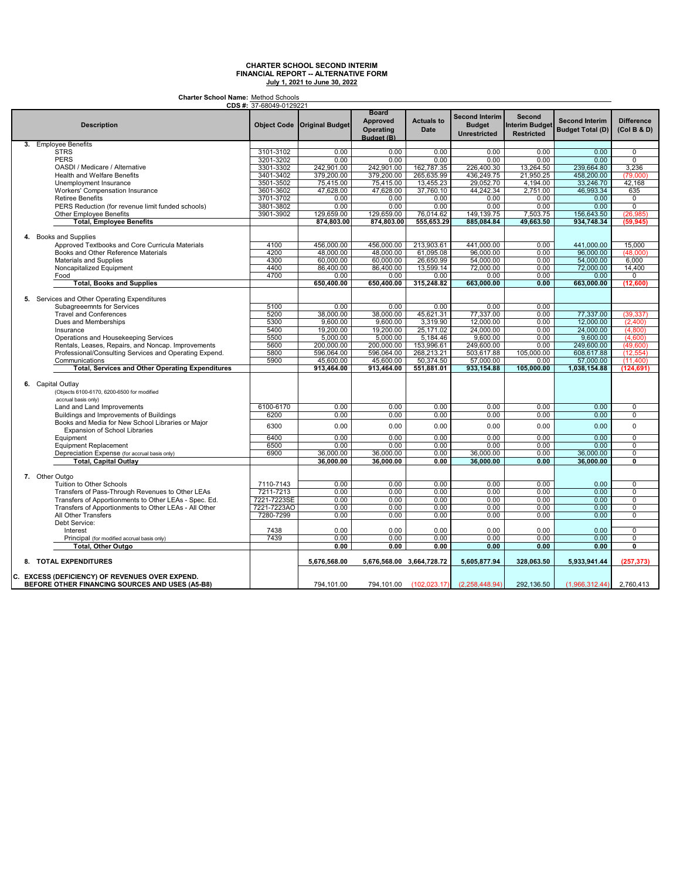**Charter School Name:** Method Schools

| <b>CDS #:</b> 37-68049-0129221                                                                     |             |                               |                                                                   |                           |                                                               |                                                             |                                                  |                                  |  |
|----------------------------------------------------------------------------------------------------|-------------|-------------------------------|-------------------------------------------------------------------|---------------------------|---------------------------------------------------------------|-------------------------------------------------------------|--------------------------------------------------|----------------------------------|--|
| <b>Description</b>                                                                                 |             | Object Code   Original Budget | <b>Board</b><br><b>Approved</b><br><b>Operating</b><br>Budget (B) | <b>Actuals to</b><br>Date | <b>Second Interim</b><br><b>Budget</b><br><b>Unrestricted</b> | <b>Second</b><br><b>Interim Budget</b><br><b>Restricted</b> | <b>Second Interim</b><br><b>Budget Total (D)</b> | <b>Difference</b><br>(Col B & D) |  |
| 3. Employee Benefits                                                                               |             |                               |                                                                   |                           |                                                               |                                                             |                                                  |                                  |  |
| <b>STRS</b>                                                                                        | 3101-3102   | 0.00                          | 0.00                                                              | 0.00                      | 0.00                                                          | 0.00                                                        | 0.00                                             | $\overline{0}$                   |  |
| <b>PERS</b>                                                                                        | 3201-3202   | 0.00                          | 0.00                                                              | 0.00                      | 0.00                                                          | 0.00                                                        | 0.00                                             | $\overline{0}$                   |  |
| OASDI / Medicare / Alternative                                                                     | 3301-3302   | 242,901.00                    | 242,901.00                                                        | 162,787.35                | 226,400.30                                                    | 13,264.50                                                   | 239,664.80                                       | 3,236                            |  |
| <b>Health and Welfare Benefits</b>                                                                 | 3401-3402   | 379,200.00                    | 379,200.00                                                        | 265,635.99                | 436,249.75                                                    | 21,950.25                                                   | 458,200.00                                       | (79,000)                         |  |
| Unemployment Insurance                                                                             | 3501-3502   | 75,415.00                     | 75,415.00                                                         | 13,455.23                 | 29,052.70                                                     | 4,194.00                                                    | 33,246.70                                        | 42,168                           |  |
|                                                                                                    |             |                               |                                                                   |                           |                                                               |                                                             |                                                  |                                  |  |
| <b>Workers' Compensation Insurance</b>                                                             | 3601-3602   | 47,628.00                     | 47,628.00                                                         | 37,760.10                 | 44,242.34                                                     | 2,751.00                                                    | 46,993.34                                        | 635                              |  |
| <b>Retiree Benefits</b>                                                                            | 3701-3702   | 0.00                          | 0.00                                                              | 0.00                      | 0.00                                                          | 0.00                                                        | 0.00                                             | 0                                |  |
| PERS Reduction (for revenue limit funded schools)                                                  | 3801-3802   | 0.00                          | 0.00                                                              | 0.00                      | 0.00                                                          | 0.00                                                        | 0.00                                             | $\overline{0}$                   |  |
| Other Employee Benefits                                                                            | 3901-3902   | 129,659.00                    | 129,659.00                                                        | 76,014.62                 | 149,139.75                                                    | 7,503.75                                                    | 156,643.50                                       | (26, 985)                        |  |
| <b>Total, Employee Benefits</b>                                                                    |             | 874,803.00                    | 874.803.00                                                        | 555,653.29                | 885.084.84                                                    | 49,663.50                                                   | 934,748.34                                       | (59, 945)                        |  |
| 4. Books and Supplies                                                                              |             |                               |                                                                   |                           |                                                               |                                                             |                                                  |                                  |  |
| Approved Textbooks and Core Curricula Materials                                                    | 4100        | 456,000.00                    | 456,000.00                                                        | 213,903.61                | 441,000.00                                                    | 0.00                                                        | 441,000.00                                       | 15,000                           |  |
| Books and Other Reference Materials                                                                | 4200        | 48.000.00                     | 48,000.00                                                         | 61,095.08                 | 96.000.00                                                     | 0.00                                                        | 96,000.00                                        | (48,000)                         |  |
| Materials and Supplies                                                                             | 4300        | 60,000.00                     | 60,000.00                                                         | 26,650.99                 | 54,000.00                                                     | 0.00                                                        | 54,000.00                                        | 6,000                            |  |
| Noncapitalized Equipment                                                                           | 4400        | 86,400.00                     | 86,400.00                                                         | 13,599.14                 | 72,000.00                                                     | 0.00                                                        | 72,000.00                                        | 14,400                           |  |
|                                                                                                    |             |                               |                                                                   |                           |                                                               |                                                             |                                                  |                                  |  |
| Food                                                                                               | 4700        | 0.00                          | 0.00                                                              | 0.00                      | 0.00                                                          | 0.00                                                        | 0.00                                             | 0                                |  |
| <b>Total, Books and Supplies</b>                                                                   |             | 650,400.00                    | 650,400.00                                                        | 315,248.82                | 663,000.00                                                    | 0.00                                                        | 663,000.00                                       | (12,600)                         |  |
| 5. Services and Other Operating Expenditures                                                       |             |                               |                                                                   |                           |                                                               |                                                             |                                                  |                                  |  |
| Subagreeemnts for Services                                                                         | 5100        | 0.00                          | 0.00                                                              | 0.00                      | 0.00                                                          | 0.00                                                        |                                                  |                                  |  |
| <b>Travel and Conferences</b>                                                                      | 5200        | 38,000.00                     | 38,000.00                                                         | 45,621.31                 | 77,337.00                                                     | 0.00                                                        | 77,337.00                                        | (39, 337)                        |  |
| Dues and Memberships                                                                               | 5300        | 9.600.00                      | 9.600.00                                                          | 3,319.90                  | 12.000.00                                                     | 0.00                                                        | 12.000.00                                        | (2.400)                          |  |
| Insurance                                                                                          | 5400        | 19,200.00                     | 19,200.00                                                         | 25,171.02                 | 24,000.00                                                     | 0.00                                                        | 24,000.00                                        | (4,800)                          |  |
| Operations and Housekeeping Services                                                               | 5500        | 5,000.00                      | 5,000.00                                                          | 5,184.46                  | 9,600.00                                                      | 0.00                                                        | 9,600.00                                         | (4,600)                          |  |
| Rentals, Leases, Repairs, and Noncap. Improvements                                                 | 5600        | 200,000.00                    | 200,000.00                                                        | 153,996.61                | 249,600.00                                                    | 0.00                                                        | 249,600.00                                       | (49,600)                         |  |
| Professional/Consulting Services and Operating Expend.                                             | 5800        | 596,064.00                    | 596.064.00                                                        | 268,213.21                | 503.617.88                                                    | 105,000.00                                                  | 608.617.88                                       | (12, 554)                        |  |
| Communications                                                                                     | 5900        | 45,600.00                     | 45,600.00                                                         | 50,374.50                 | 57,000.00                                                     | 0.00                                                        | 57,000.00                                        | (11,400)                         |  |
| <b>Total, Services and Other Operating Expenditures</b>                                            |             | 913,464.00                    | 913,464.00                                                        | 551,881.01                | 933,154.88                                                    | 105.000.00                                                  | 1,038,154.88                                     | (124.691)                        |  |
|                                                                                                    |             |                               |                                                                   |                           |                                                               |                                                             |                                                  |                                  |  |
| 6. Capital Outlay                                                                                  |             |                               |                                                                   |                           |                                                               |                                                             |                                                  |                                  |  |
| (Objects 6100-6170, 6200-6500 for modified                                                         |             |                               |                                                                   |                           |                                                               |                                                             |                                                  |                                  |  |
| accrual basis only)                                                                                |             |                               |                                                                   |                           |                                                               |                                                             |                                                  |                                  |  |
| Land and Land Improvements                                                                         | 6100-6170   | 0.00                          | 0.00                                                              | 0.00                      | 0.00                                                          | 0.00                                                        | 0.00                                             | $\overline{0}$                   |  |
| Buildings and Improvements of Buildings                                                            | 6200        | 0.00                          | 0.00                                                              | 0.00                      | 0.00                                                          | 0.00                                                        | 0.00                                             | 0                                |  |
| Books and Media for New School Libraries or Major<br><b>Expansion of School Libraries</b>          | 6300        | 0.00                          | 0.00                                                              | 0.00                      | 0.00                                                          | 0.00                                                        | 0.00                                             | $\mathbf 0$                      |  |
| Equipment                                                                                          | 6400        | 0.00                          | 0.00                                                              | 0.00                      | 0.00                                                          | 0.00                                                        | 0.00                                             | 0                                |  |
| Equipment Replacement                                                                              | 6500        | 0.00                          | 0.00                                                              | 0.00                      | 0.00                                                          | 0.00                                                        | 0.00                                             | $\overline{0}$                   |  |
| Depreciation Expense (for accrual basis only)                                                      | 6900        | 36,000.00                     | 36,000.00                                                         | 0.00                      | 36,000.00                                                     | 0.00                                                        | 36,000.00                                        | 0                                |  |
| Total, Capital Outlay                                                                              |             | 36.000.00                     | 36.000.00                                                         | 0.00                      | 36.000.00                                                     | 0.00                                                        | 36.000.00                                        | $\overline{\mathfrak{o}}$        |  |
|                                                                                                    |             |                               |                                                                   |                           |                                                               |                                                             |                                                  |                                  |  |
| 7. Other Outgo                                                                                     |             |                               |                                                                   |                           |                                                               |                                                             |                                                  |                                  |  |
| Tuition to Other Schools                                                                           | 7110-7143   | 0.00                          | 0.00                                                              | 0.00                      | 0.00                                                          | 0.00                                                        | 0.00                                             | 0                                |  |
| Transfers of Pass-Through Revenues to Other LEAs                                                   | 7211-7213   | 0.00                          | 0.00                                                              | 0.00                      | 0.00                                                          | 0.00                                                        | 0.00                                             | $\overline{0}$                   |  |
| Transfers of Apportionments to Other LEAs - Spec. Ed.                                              | 7221-7223SE | 0.00                          | 0.00                                                              | 0.00                      | 0.00                                                          | 0.00                                                        | 0.00                                             | $\overline{0}$                   |  |
| Transfers of Apportionments to Other LEAs - All Other                                              | 7221-7223AO | 0.00                          | 0.00                                                              | 0.00                      | 0.00                                                          | 0.00                                                        | 0.00                                             | $\overline{0}$                   |  |
| All Other Transfers                                                                                | 7280-7299   | 0.00                          | 0.00                                                              | 0.00                      | 0.00                                                          | 0.00                                                        | 0.00                                             | 0                                |  |
|                                                                                                    |             |                               |                                                                   |                           |                                                               |                                                             |                                                  |                                  |  |
| Debt Service:                                                                                      |             |                               |                                                                   |                           |                                                               |                                                             |                                                  |                                  |  |
| Interest                                                                                           | 7438        | 0.00                          | 0.00                                                              | 0.00                      | 0.00                                                          | 0.00                                                        | 0.00                                             | $\mathbf 0$                      |  |
| Principal (for modified accrual basis only)                                                        | 7439        | 0.00                          | 0.00                                                              | 0.00                      | 0.00                                                          | 0.00                                                        | 0.00                                             | 0                                |  |
| <b>Total, Other Outgo</b>                                                                          |             | 0.00                          | 0.00                                                              | 0.00                      | 0.00                                                          | 0.00                                                        | 0.00                                             | 0                                |  |
| 8. TOTAL EXPENDITURES                                                                              |             | 5,676,568.00                  | 5,676,568.00 3,664,728.72                                         |                           | 5,605,877.94                                                  | 328,063.50                                                  | 5,933,941.44                                     | (257.373)                        |  |
|                                                                                                    |             |                               |                                                                   |                           |                                                               |                                                             |                                                  |                                  |  |
| C. EXCESS (DEFICIENCY) OF REVENUES OVER EXPEND.<br>BEFORE OTHER FINANCING SOURCES AND USES (A5-B8) |             | 794,101.00                    | 794,101.00                                                        | (102, 023, 17)            | (2,258,448.94)                                                | 292,136.50                                                  | (1,966,312.44)                                   | 2,760,413                        |  |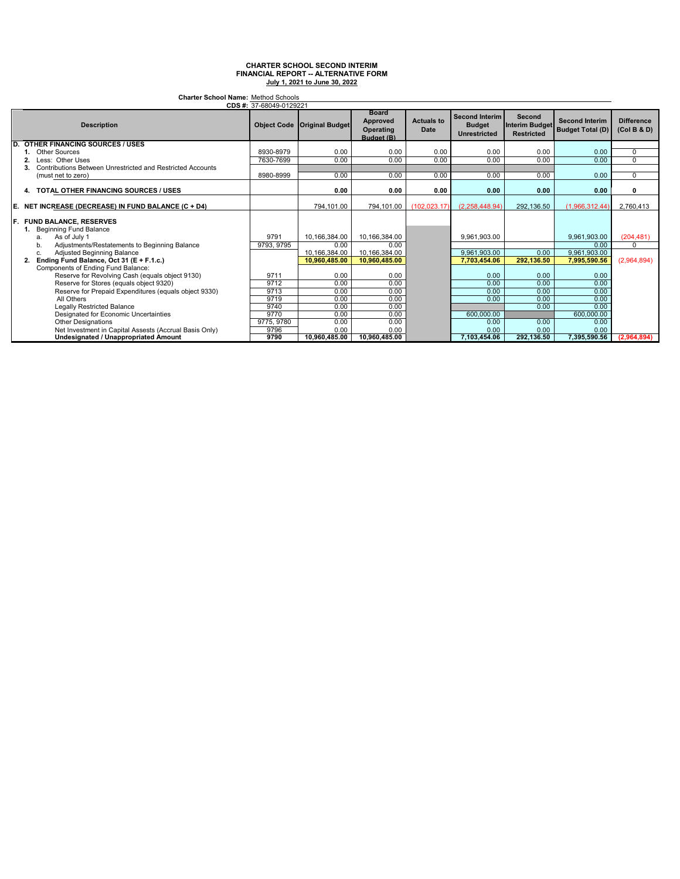| <b>Charter School Name: Method Schools</b><br>CDS #: 37-68049-0129221 |                                                                                       |                    |                        |                                                     |                           |                                                               |                                               |                                                  |                                  |
|-----------------------------------------------------------------------|---------------------------------------------------------------------------------------|--------------------|------------------------|-----------------------------------------------------|---------------------------|---------------------------------------------------------------|-----------------------------------------------|--------------------------------------------------|----------------------------------|
|                                                                       | <b>Description</b>                                                                    | <b>Object Code</b> | <b>Original Budget</b> | <b>Board</b><br>Approved<br>Operating<br>Budget (B) | <b>Actuals to</b><br>Date | <b>Second Interim</b><br><b>Budget</b><br><b>Unrestricted</b> | Second<br>Interim Budget<br><b>Restricted</b> | <b>Second Interim</b><br><b>Budget Total (D)</b> | <b>Difference</b><br>(Col B & D) |
| D.                                                                    | <b>OTHER FINANCING SOURCES / USES</b>                                                 |                    |                        |                                                     |                           |                                                               |                                               |                                                  |                                  |
|                                                                       | <b>Other Sources</b>                                                                  | 8930-8979          | 0.00                   | 0.00                                                | 0.00                      | 0.00                                                          | 0.00                                          | 0.00                                             | 0                                |
| 2.                                                                    | Less: Other Uses                                                                      | 7630-7699          | 0.00                   | 0.00                                                | 0.00                      | 0.00                                                          | 0.00                                          | 0.00                                             | $\Omega$                         |
| 3.                                                                    | Contributions Between Unrestricted and Restricted Accounts                            |                    |                        |                                                     |                           |                                                               |                                               |                                                  |                                  |
|                                                                       | (must net to zero)                                                                    | 8980-8999          | 0.00                   | 0.00                                                | 0.00                      | 0.00                                                          | 0.00                                          | 0.00                                             | 0                                |
| 4.                                                                    | <b>TOTAL OTHER FINANCING SOURCES / USES</b>                                           |                    | 0.00                   | 0.00                                                | 0.00                      | 0.00                                                          | 0.00                                          | 0.00                                             | 0                                |
| Е.                                                                    | NET INCREASE (DECREASE) IN FUND BALANCE (C + D4)                                      |                    | 794.101.00             | 794.101.00                                          | (102.023.17)              | (2.258.448.94)                                                | 292.136.50                                    | (1.966.312.44)                                   | 2.760.413                        |
|                                                                       | <b>F. FUND BALANCE, RESERVES</b><br>Beginning Fund Balance<br>As of July 1<br>a.      | 9791               | 10.166.384.00          | 10.166.384.00                                       |                           | 9.961.903.00                                                  |                                               | 9.961.903.00                                     | (204, 481)                       |
|                                                                       | Adjustments/Restatements to Beginning Balance<br>b.                                   | 9793, 9795         | 0.00                   | 0.00                                                |                           |                                                               |                                               | 0.00                                             | $\Omega$                         |
|                                                                       | Adjusted Beginning Balance<br>c.                                                      |                    | 10,166,384.00          | 10,166,384.00                                       |                           | 9.961.903.00                                                  | 0.00                                          | 9,961,903.00                                     |                                  |
| 2.                                                                    | Ending Fund Balance, Oct 31 (E + F.1.c.)                                              |                    | 10.960.485.00          | 10.960.485.00                                       |                           | 7.703.454.06                                                  | 292.136.50                                    | 7.995.590.56                                     | (2,964,894)                      |
|                                                                       | Components of Ending Fund Balance:<br>Reserve for Revolving Cash (equals object 9130) | 9711               | 0.00                   | 0.00                                                |                           | 0.00                                                          | 0.00                                          | 0.00                                             |                                  |
|                                                                       | Reserve for Stores (equals object 9320)                                               | 9712               | 0.00                   | 0.00                                                |                           | 0.00                                                          | 0.00                                          | 0.00                                             |                                  |
|                                                                       | Reserve for Prepaid Expenditures (equals object 9330)                                 | 9713               | 0.00                   | 0.00                                                |                           | 0.00                                                          | 0.00                                          | 0.00                                             |                                  |
|                                                                       | All Others                                                                            | 9719               | 0.00                   | 0.00                                                |                           | 0.00                                                          | 0.00                                          | 0.00                                             |                                  |
|                                                                       | Legally Restricted Balance                                                            | 9740               | 0.00                   | 0.00                                                |                           |                                                               | 0.00                                          | 0.00                                             |                                  |
|                                                                       | Designated for Economic Uncertainties                                                 | 9770               | 0.00                   | 0.00                                                |                           | 600.000.00                                                    |                                               | 600,000.00                                       |                                  |
|                                                                       | <b>Other Designations</b>                                                             | 9775, 9780         | 0.00                   | 0.00                                                |                           | 0.00                                                          | 0.00                                          | 0.00                                             |                                  |
|                                                                       | Net Investment in Capital Assests (Accrual Basis Only)                                | 9796               | 0.00                   | 0.00                                                |                           | 0.00                                                          | 0.00                                          | 0.00                                             |                                  |
|                                                                       | <b>Undesignated / Unappropriated Amount</b>                                           | 9790               | 10.960.485.00          | 10.960.485.00                                       |                           | 7.103.454.06                                                  | 292.136.50                                    | 7,395,590.56                                     | (2,964,894)                      |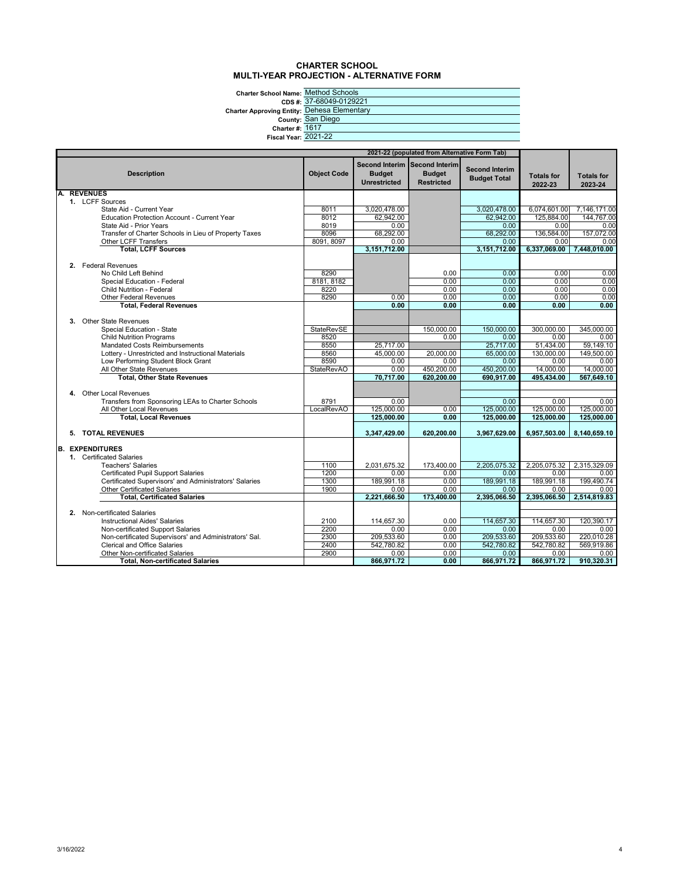#### **CHARTER SCHOOL MULTI-YEAR PROJECTION - ALTERNATIVE FORM**

**Charter School Name:** Method Schools

**CDS #: Charter Approving E**<br>Co

|                             | CDS #: 37-68049-0129221        |
|-----------------------------|--------------------------------|
|                             | wing Entity: Dehesa Elementary |
|                             | County: San Diego              |
| Charter #: 1617             |                                |
| <b>Fiscal Year: 2021-22</b> |                                |
|                             |                                |

|    | 2021-22 (populated from Alternative Form Tab) |                                                        |                    |                                      |                                                                     |                                              |                              |                              |
|----|-----------------------------------------------|--------------------------------------------------------|--------------------|--------------------------------------|---------------------------------------------------------------------|----------------------------------------------|------------------------------|------------------------------|
|    |                                               | <b>Description</b>                                     | <b>Object Code</b> | <b>Budget</b><br><b>Unrestricted</b> | Second Interim Second Interim<br><b>Budget</b><br><b>Restricted</b> | <b>Second Interim</b><br><b>Budget Total</b> | <b>Totals for</b><br>2022-23 | <b>Totals for</b><br>2023-24 |
| A. |                                               | <b>REVENUES</b>                                        |                    |                                      |                                                                     |                                              |                              |                              |
|    |                                               | 1. LCFF Sources                                        |                    |                                      |                                                                     |                                              |                              |                              |
|    |                                               | State Aid - Current Year                               | 8011               | 3.020.478.00                         |                                                                     | 3.020.478.00                                 | 6,074,601.00                 | 7,146,171.00                 |
|    |                                               | Education Protection Account - Current Year            | 8012               | 62,942.00                            |                                                                     | 62.942.00                                    | 125.884.00                   | 144.767.00                   |
|    |                                               | State Aid - Prior Years                                | 8019               | 0.00                                 |                                                                     | 0.00                                         | 0.00                         | 0.00                         |
|    |                                               | Transfer of Charter Schools in Lieu of Property Taxes  | 8096<br>8091, 8097 | 68,292.00<br>0.00                    |                                                                     | 68,292.00                                    | 136,584.00<br>0.00           | 157,072.00                   |
|    |                                               | Other LCFF Transfers<br><b>Total, LCFF Sources</b>     |                    | 3,151,712.00                         |                                                                     | 0.00<br>3,151,712.00                         | 6,337,069.00                 | 0.00<br>7,448,010.00         |
|    |                                               |                                                        |                    |                                      |                                                                     |                                              |                              |                              |
|    |                                               | 2. Federal Revenues                                    |                    |                                      |                                                                     |                                              |                              |                              |
|    |                                               | No Child Left Behind                                   | 8290               |                                      | 0.00                                                                | 0.00                                         | 0.00                         | 0.00                         |
|    |                                               | Special Education - Federal                            | 8181, 8182         |                                      | 0.00                                                                | 0.00                                         | 0.00                         | 0.00                         |
|    |                                               | Child Nutrition - Federal                              | 8220               |                                      | 0.00                                                                | 0.00                                         | 0.00                         | 0.00                         |
|    |                                               | <b>Other Federal Revenues</b>                          | 8290               | 0.00                                 | 0.00                                                                | 0.00                                         | 0.00                         | 0.00                         |
|    |                                               | <b>Total, Federal Revenues</b>                         |                    | 0.00                                 | 0.00                                                                | 0.00                                         | 0.00                         | 0.00                         |
|    |                                               |                                                        |                    |                                      |                                                                     |                                              |                              |                              |
|    |                                               | 3. Other State Revenues                                |                    |                                      |                                                                     |                                              |                              |                              |
|    |                                               | Special Education - State                              | <b>StateRevSE</b>  |                                      | 150,000.00                                                          | 150,000.00                                   | 300.000.00                   | 345,000.00                   |
|    |                                               | <b>Child Nutrition Programs</b>                        | 8520               |                                      | 0.00                                                                | 0.00                                         | 0.00                         | 0.00                         |
|    |                                               | <b>Mandated Costs Reimbursements</b>                   | 8550               | 25,717.00                            |                                                                     | 25,717.00                                    | 51,434.00                    | 59,149.10                    |
|    |                                               | Lottery - Unrestricted and Instructional Materials     | 8560               | 45,000.00                            | 20,000.00                                                           | 65,000.00                                    | 130,000.00                   | 149,500.00                   |
|    |                                               | Low Performing Student Block Grant                     | 8590               | 0.00                                 | 0.00                                                                | 0.00                                         | 0.00                         | 0.00                         |
|    |                                               | All Other State Revenues                               | <b>StateRevAO</b>  | 0.00                                 | 450,200,00                                                          | 450,200,00                                   | 14.000.00                    | 14.000.00                    |
|    |                                               | <b>Total, Other State Revenues</b>                     |                    | 70,717.00                            | 620,200.00                                                          | 690,917.00                                   | 495,434.00                   | 567,649.10                   |
|    |                                               |                                                        |                    |                                      |                                                                     |                                              |                              |                              |
|    |                                               | 4. Other Local Revenues                                |                    |                                      |                                                                     |                                              |                              |                              |
|    |                                               | Transfers from Sponsoring LEAs to Charter Schools      | 8791               | 0.00                                 |                                                                     | 0.00                                         | 0.00                         | 0.00                         |
|    |                                               | All Other Local Revenues                               | LocalRevAO         | 125,000.00                           | 0.00                                                                | 125,000.00                                   | 125,000.00                   | 125,000.00                   |
|    |                                               | <b>Total, Local Revenues</b>                           |                    | 125,000.00                           | 0.00                                                                | 125.000.00                                   | 125.000.00                   | 125,000.00                   |
|    |                                               | 5. TOTAL REVENUES                                      |                    | 3,347,429.00                         | 620,200.00                                                          | 3,967,629.00                                 | 6,957,503.00                 | 8,140,659.10                 |
|    |                                               |                                                        |                    |                                      |                                                                     |                                              |                              |                              |
|    |                                               | <b>B. EXPENDITURES</b><br>1. Certificated Salaries     |                    |                                      |                                                                     |                                              |                              |                              |
|    |                                               | <b>Teachers' Salaries</b>                              | 1100               | 2,031,675.32                         | 173,400.00                                                          | 2.205.075.32                                 | 2,205,075.32                 | 2,315,329.09                 |
|    |                                               | Certificated Pupil Support Salaries                    | 1200               | 0.00                                 | 0.00                                                                | 0.00                                         | 0.00                         | 0.00                         |
|    |                                               | Certificated Supervisors' and Administrators' Salaries | 1300               | 189,991.18                           | 0.00                                                                | 189,991.18                                   | 189,991.18                   | 199,490.74                   |
|    |                                               | <b>Other Certificated Salaries</b>                     | 1900               | 0.00                                 | 0.00                                                                | 0.00                                         | 0.00                         | 0.00                         |
|    |                                               | <b>Total, Certificated Salaries</b>                    |                    | 2,221,666.50                         | 173,400.00                                                          | 2,395,066.50                                 | 2,395,066.50                 | 2,514,819.83                 |
|    |                                               |                                                        |                    |                                      |                                                                     |                                              |                              |                              |
|    |                                               | 2. Non-certificated Salaries                           |                    |                                      |                                                                     |                                              |                              |                              |
|    |                                               | <b>Instructional Aides' Salaries</b>                   | 2100               | 114,657.30                           | 0.00                                                                | 114.657.30                                   | 114,657.30                   | 120.390.17                   |
|    |                                               | Non-certificated Support Salaries                      | 2200               | 0.00                                 | 0.00                                                                | 0.00                                         | 0.00                         | 0.00                         |
|    |                                               | Non-certificated Supervisors' and Administrators' Sal. | 2300               | 209,533.60                           | 0.00                                                                | 209.533.60                                   | 209,533.60                   | 220,010.28                   |
|    |                                               | <b>Clerical and Office Salaries</b>                    | 2400               | 542,780.82                           | 0.00                                                                | 542,780.82                                   | 542,780.82                   | 569,919.86                   |
|    |                                               | Other Non-certificated Salaries                        | 2900               | 0.00                                 | 0.00                                                                | 0.00                                         | 0.00                         | 0.00                         |
|    |                                               | <b>Total, Non-certificated Salaries</b>                |                    | 866,971.72                           | 0.00                                                                | 866,971.72                                   | 866,971.72                   | 910,320.31                   |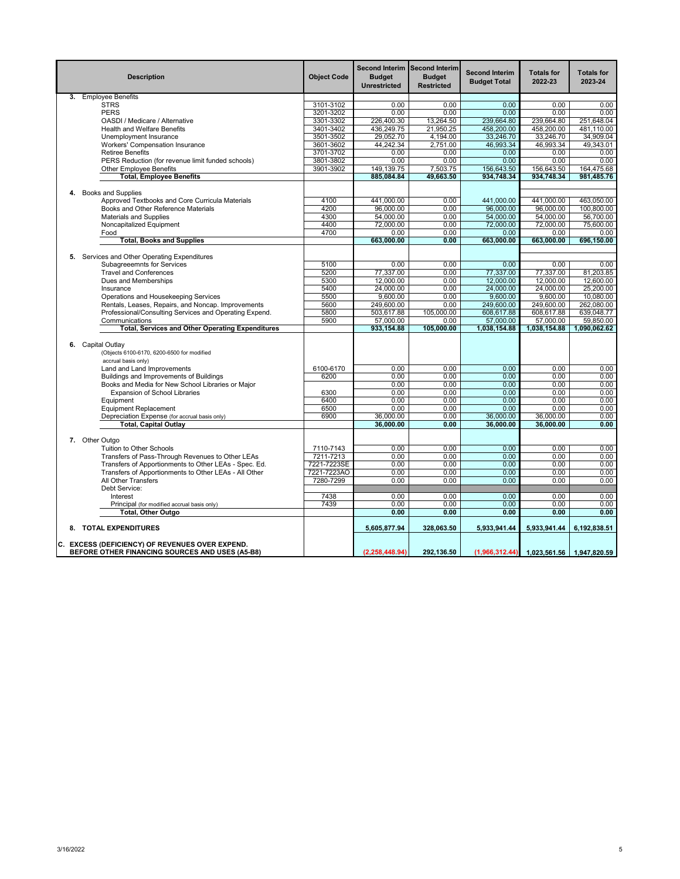|    | <b>Description</b>                                                                                 | <b>Object Code</b> | <b>Budget</b><br><b>Unrestricted</b> | Second Interim Second Interim<br><b>Budget</b><br><b>Restricted</b> | <b>Second Interim</b><br><b>Budget Total</b> | <b>Totals for</b><br>2022-23 | <b>Totals for</b><br>2023-24 |
|----|----------------------------------------------------------------------------------------------------|--------------------|--------------------------------------|---------------------------------------------------------------------|----------------------------------------------|------------------------------|------------------------------|
|    | 3. Employee Benefits                                                                               |                    |                                      |                                                                     |                                              |                              |                              |
|    | <b>STRS</b>                                                                                        | 3101-3102          | 0.00                                 | 0.00                                                                | 0.00                                         | 0.00                         | 0.00                         |
|    | <b>PERS</b>                                                                                        | 3201-3202          | 0.00                                 | 0.00                                                                | 0.00                                         | 0.00                         | 0.00                         |
|    | OASDI / Medicare / Alternative                                                                     | 3301-3302          | 226,400.30                           | 13,264.50                                                           | 239,664.80                                   | 239,664.80                   | 251,648.04                   |
|    | <b>Health and Welfare Benefits</b>                                                                 | 3401-3402          | 436,249.75                           | 21,950.25                                                           | 458,200.00                                   | 458,200.00                   | 481,110.00                   |
|    | Unemployment Insurance                                                                             | 3501-3502          | 29,052.70                            | 4,194.00                                                            | 33,246.70                                    | 33,246.70                    | 34,909.04                    |
|    | Workers' Compensation Insurance                                                                    | 3601-3602          | 44,242.34                            | 2,751.00                                                            | 46,993.34                                    | 46,993.34                    | 49,343.01                    |
|    | <b>Retiree Benefits</b>                                                                            | 3701-3702          | 0.00                                 | 0.00                                                                | 0.00                                         | 0.00                         | 0.00                         |
|    | PERS Reduction (for revenue limit funded schools)                                                  | 3801-3802          | 0.00                                 | 0.00                                                                | 0.00                                         | 0.00                         | 0.00                         |
|    | Other Employee Benefits                                                                            | 3901-3902          | 149,139.75                           | 7,503.75                                                            | 156,643.50                                   | 156,643.50                   | 164,475.68                   |
|    | <b>Total, Employee Benefits</b>                                                                    |                    | 885,084.84                           | 49,663.50                                                           | 934,748.34                                   | 934,748.34                   | 981,485.76                   |
|    |                                                                                                    |                    |                                      |                                                                     |                                              |                              |                              |
| 4. | <b>Books and Supplies</b>                                                                          |                    |                                      |                                                                     |                                              |                              |                              |
|    | Approved Textbooks and Core Curricula Materials                                                    | 4100               | 441,000.00                           | 0.00                                                                | 441,000.00                                   | 441,000.00                   | 463,050.00                   |
|    | Books and Other Reference Materials                                                                | 4200               | 96,000.00                            | 0.00                                                                | 96,000.00                                    | 96,000.00                    | 100,800.00                   |
|    |                                                                                                    |                    |                                      |                                                                     |                                              |                              |                              |
|    | <b>Materials and Supplies</b>                                                                      | 4300               | 54,000.00                            | 0.00                                                                | 54,000.00                                    | 54,000.00                    | 56,700.00                    |
|    | Noncapitalized Equipment                                                                           | 4400               | 72,000.00                            | 0.00                                                                | 72,000.00                                    | 72,000.00                    | 75,600.00                    |
|    | Food                                                                                               | 4700               | 0.00                                 | 0.00                                                                | 0.00                                         | 0.00                         | 0.00                         |
|    | <b>Total, Books and Supplies</b>                                                                   |                    | 663,000.00                           | 0.00                                                                | 663,000.00                                   | 663,000.00                   | 696,150.00                   |
|    |                                                                                                    |                    |                                      |                                                                     |                                              |                              |                              |
|    | 5. Services and Other Operating Expenditures                                                       |                    |                                      |                                                                     |                                              |                              |                              |
|    | Subagreeemnts for Services                                                                         | 5100               | 0.00                                 | 0.00                                                                | 0.00                                         | 0.00                         | 0.00                         |
|    | <b>Travel and Conferences</b>                                                                      | 5200               | 77,337.00                            | 0.00                                                                | 77,337.00                                    | 77,337.00                    | 81,203.85                    |
|    | Dues and Memberships                                                                               | 5300               | 12,000.00                            | 0.00                                                                | 12,000.00                                    | 12,000.00                    | 12,600.00                    |
|    | Insurance                                                                                          | 5400               | 24,000.00                            | 0.00                                                                | 24,000.00                                    | 24,000.00                    | 25,200.00                    |
|    | Operations and Housekeeping Services                                                               | 5500               | 9,600.00                             | 0.00                                                                | 9,600.00                                     | 9,600.00                     | 10,080.00                    |
|    | Rentals, Leases, Repairs, and Noncap. Improvements                                                 | 5600               | 249,600.00                           | 0.00                                                                | 249,600.00                                   | 249,600.00                   | 262,080.00                   |
|    | Professional/Consulting Services and Operating Expend.                                             | 5800               | 503,617.88                           | 105,000.00                                                          | 608,617.88                                   | 608,617.88                   | 639,048.77                   |
|    | Communications                                                                                     | 5900               | 57,000.00                            | 0.00                                                                | 57,000.00                                    | 57,000.00                    | 59,850.00                    |
|    | <b>Total, Services and Other Operating Expenditures</b>                                            |                    | 933,154.88                           | 105,000.00                                                          | 1,038,154.88                                 | 1,038,154.88                 | 1,090,062.62                 |
|    | 6. Capital Outlay<br>(Objects 6100-6170, 6200-6500 for modified<br>accrual basis only)             |                    |                                      |                                                                     |                                              |                              |                              |
|    | Land and Land Improvements                                                                         | 6100-6170          | 0.00                                 | 0.00                                                                | 0.00                                         | 0.00                         | 0.00                         |
|    | Buildings and Improvements of Buildings                                                            | 6200               | 0.00                                 | 0.00                                                                | 0.00                                         | 0.00                         | 0.00                         |
|    | Books and Media for New School Libraries or Major                                                  |                    | 0.00                                 | 0.00                                                                | 0.00                                         | 0.00                         | 0.00                         |
|    | <b>Expansion of School Libraries</b>                                                               | 6300               | 0.00                                 | 0.00                                                                | 0.00                                         | 0.00                         | 0.00                         |
|    | Equipment                                                                                          | 6400               | 0.00                                 | 0.00                                                                | 0.00                                         | 0.00                         | 0.00                         |
|    | <b>Equipment Replacement</b>                                                                       | 6500               | 0.00                                 | 0.00                                                                | 0.00                                         | 0.00                         | 0.00                         |
|    | Depreciation Expense (for accrual basis only)                                                      | 6900               | 36,000.00                            | 0.00                                                                | 36,000.00                                    | 36,000.00                    | 0.00                         |
|    | <b>Total, Capital Outlay</b>                                                                       |                    | 36,000.00                            | 0.00                                                                | 36,000.00                                    | 36,000.00                    | 0.00                         |
|    |                                                                                                    |                    |                                      |                                                                     |                                              |                              |                              |
|    | 7. Other Outgo                                                                                     |                    |                                      |                                                                     |                                              |                              |                              |
|    | Tuition to Other Schools                                                                           | 7110-7143          | 0.00                                 | 0.00                                                                | 0.00                                         | 0.00                         | 0.00                         |
|    | Transfers of Pass-Through Revenues to Other LEAs                                                   | 7211-7213          | 0.00                                 | 0.00                                                                | 0.00                                         | 0.00                         | 0.00                         |
|    | Transfers of Apportionments to Other LEAs - Spec. Ed.                                              | 7221-7223SE        | 0.00                                 | 0.00                                                                | 0.00                                         | 0.00                         | 0.00                         |
|    | Transfers of Apportionments to Other LEAs - All Other                                              | 7221-7223AO        | 0.00                                 | 0.00                                                                | 0.00                                         | 0.00                         | 0.00                         |
|    | All Other Transfers                                                                                | 7280-7299          | 0.00                                 | 0.00                                                                | 0.00                                         | 0.00                         | 0.00                         |
|    | Debt Service:                                                                                      |                    |                                      |                                                                     |                                              |                              |                              |
|    | Interest                                                                                           | 7438               | 0.00                                 | 0.00                                                                | 0.00                                         | 0.00                         | 0.00                         |
|    | Principal (for modified accrual basis only)                                                        | 7439               | 0.00                                 | 0.00                                                                | 0.00                                         | 0.00                         | 0.00                         |
|    |                                                                                                    |                    | 0.00                                 | 0.00                                                                | 0.00                                         | 0.00                         | 0.00                         |
|    | <b>Total, Other Outgo</b>                                                                          |                    |                                      |                                                                     |                                              |                              |                              |
|    | 8. TOTAL EXPENDITURES                                                                              |                    | 5,605,877.94                         | 328,063.50                                                          | 5,933,941.44                                 | 5,933,941.44                 | 6,192,838.51                 |
|    | C. EXCESS (DEFICIENCY) OF REVENUES OVER EXPEND.<br>BEFORE OTHER FINANCING SOURCES AND USES (A5-B8) |                    | (2.258.448.94)                       | 292.136.50                                                          | (1,966,312.44)                               | 1,023,561.56                 | 1.947.820.59                 |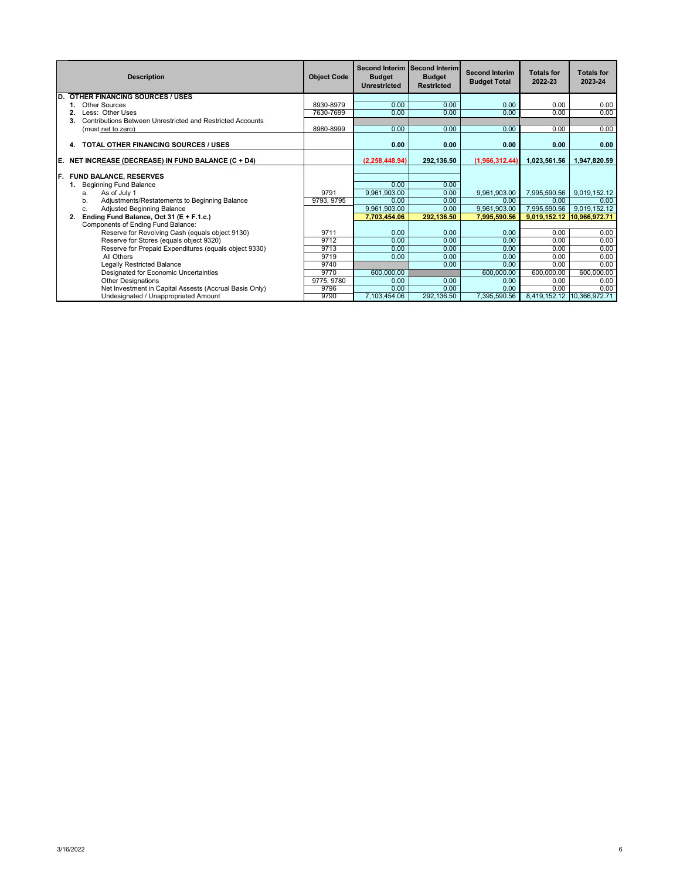|     | <b>Description</b>                                         | <b>Object Code</b> | <b>Budget</b><br><b>Unrestricted</b> | Second Interim Second Interim<br><b>Budget</b><br><b>Restricted</b> | <b>Second Interim</b><br><b>Budget Total</b> | <b>Totals for</b><br>2022-23 | <b>Totals for</b><br>2023-24 |
|-----|------------------------------------------------------------|--------------------|--------------------------------------|---------------------------------------------------------------------|----------------------------------------------|------------------------------|------------------------------|
| ID. | <b>OTHER FINANCING SOURCES / USES</b>                      |                    |                                      |                                                                     |                                              |                              |                              |
|     | Other Sources                                              | 8930-8979          | 0.00                                 | 0.00                                                                | 0.00                                         | 0.00                         | 0.00                         |
|     | Less: Other Uses                                           | 7630-7699          | 0.00                                 | 0.00                                                                | 0.00                                         | 0.00                         | 0.00                         |
|     | Contributions Between Unrestricted and Restricted Accounts |                    |                                      |                                                                     |                                              |                              |                              |
|     | (must net to zero)                                         | 8980-8999          | 0.00                                 | 0.00                                                                | 0.00                                         | 0.00                         | 0.00                         |
|     | <b>TOTAL OTHER FINANCING SOURCES / USES</b><br>4.          |                    | 0.00                                 | 0.00                                                                | 0.00                                         | 0.00                         | 0.00                         |
| IE. | NET INCREASE (DECREASE) IN FUND BALANCE (C + D4)           |                    | (2, 258, 448.94)                     | 292,136.50                                                          | (1,966,312.44)                               | 1,023,561.56                 | 1.947.820.59                 |
|     |                                                            |                    |                                      |                                                                     |                                              |                              |                              |
| IF. | <b>FUND BALANCE, RESERVES</b>                              |                    |                                      |                                                                     |                                              |                              |                              |
|     | <b>Beginning Fund Balance</b>                              |                    | 0.00                                 | 0.00                                                                |                                              |                              |                              |
|     | As of July 1<br>a.                                         | 9791               | 9,961,903.00                         | 0.00                                                                | 9.961.903.00                                 | 7.995.590.56                 | 9,019,152.12                 |
|     | Adjustments/Restatements to Beginning Balance<br>b.        | 9793, 9795         | 0.00                                 | 0.00                                                                | 0.00                                         | 0.00                         | 0.00                         |
|     | Adjusted Beginning Balance<br>C.                           |                    | 9,961,903.00                         | 0.00                                                                | 9.961.903.00                                 | 7,995,590.56                 | 9,019,152.12                 |
|     | Ending Fund Balance, Oct 31 (E + F.1.c.)<br>2.             |                    | 7,703,454.06                         | 292,136.50                                                          | 7,995,590.56                                 | 9,019,152.12                 | 10,966,972.71                |
|     | Components of Ending Fund Balance:                         |                    |                                      |                                                                     |                                              |                              |                              |
|     | Reserve for Revolving Cash (equals object 9130)            | 9711               | 0.00                                 | 0.00                                                                | 0.00                                         | 0.00                         | 0.00                         |
|     | Reserve for Stores (equals object 9320)                    | 9712               | 0.00                                 | 0.00                                                                | 0.00                                         | 0.00                         | 0.00                         |
|     | Reserve for Prepaid Expenditures (equals object 9330)      | 9713               | 0.00                                 | 0.00                                                                | 0.00                                         | 0.00                         | 0.00                         |
|     | All Others                                                 | 9719               | 0.00                                 | 0.00                                                                | 0.00                                         | 0.00                         | 0.00                         |
|     | <b>Legally Restricted Balance</b>                          | 9740               |                                      | 0.00                                                                | 0.00                                         | 0.00                         | 0.00                         |
|     | Designated for Economic Uncertainties                      | 9770               | 600,000.00                           |                                                                     | 600,000.00                                   | 600,000.00                   | 600,000.00                   |
|     | <b>Other Designations</b>                                  | 9775, 9780         | 0.00                                 | 0.00                                                                | 0.00                                         | 0.00                         | 0.00                         |
|     | Net Investment in Capital Assests (Accrual Basis Only)     | 9796               | 0.00                                 | 0.00                                                                | 0.00                                         | 0.00                         | 0.00                         |
|     | Undesignated / Unappropriated Amount                       | 9790               | 7.103.454.06                         | 292,136.50                                                          | 7,395,590.56                                 |                              | 8,419,152.12 10,366,972.71   |